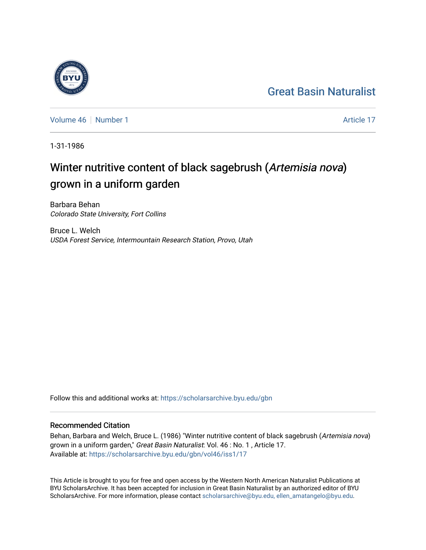## [Great Basin Naturalist](https://scholarsarchive.byu.edu/gbn)

[Volume 46](https://scholarsarchive.byu.edu/gbn/vol46) [Number 1](https://scholarsarchive.byu.edu/gbn/vol46/iss1) Article 17

1-31-1986

# Winter nutritive content of black sagebrush (Artemisia nova) grown in a uniform garden

Barbara Behan Colorado State University, Fort Collins

Bruce L. Welch USDA Forest Service, Intermountain Research Station, Provo, Utah

Follow this and additional works at: [https://scholarsarchive.byu.edu/gbn](https://scholarsarchive.byu.edu/gbn?utm_source=scholarsarchive.byu.edu%2Fgbn%2Fvol46%2Fiss1%2F17&utm_medium=PDF&utm_campaign=PDFCoverPages) 

### Recommended Citation

Behan, Barbara and Welch, Bruce L. (1986) "Winter nutritive content of black sagebrush (Artemisia nova) grown in a uniform garden," Great Basin Naturalist: Vol. 46 : No. 1, Article 17. Available at: [https://scholarsarchive.byu.edu/gbn/vol46/iss1/17](https://scholarsarchive.byu.edu/gbn/vol46/iss1/17?utm_source=scholarsarchive.byu.edu%2Fgbn%2Fvol46%2Fiss1%2F17&utm_medium=PDF&utm_campaign=PDFCoverPages) 

This Article is brought to you for free and open access by the Western North American Naturalist Publications at BYU ScholarsArchive. It has been accepted for inclusion in Great Basin Naturalist by an authorized editor of BYU ScholarsArchive. For more information, please contact [scholarsarchive@byu.edu, ellen\\_amatangelo@byu.edu.](mailto:scholarsarchive@byu.edu,%20ellen_amatangelo@byu.edu)

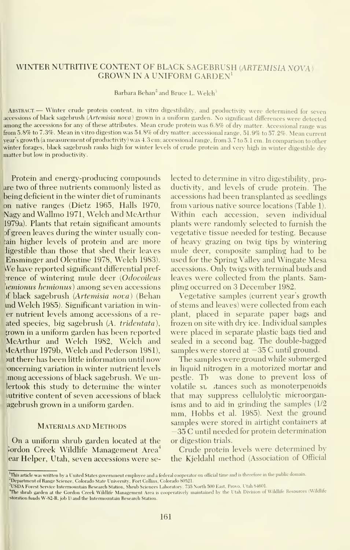#### WINTER NUTRITIVE CONTENT OF BLACK SAGEBRUSH (ARTEMISIA NOVA) GROWN IN A UNIFORM GARDEN^

Barbara Behan<sup>2</sup> and Bruce L. Welch<sup>3</sup>

ABSTRACT. - Winter crude protein content, in vitro digestibility, and productivity were determined for seven accessions of black sagebrush (Artemisia nova) grown in a uniform garden. No significant differences were detected among the accessions for any of these attributes. Mean crude protein was 6.8% of dry matter. Accessional range was from 5.8% to 7.3%. Mean in vitro digestion was 54.8% of dry matter; accessional range, 51.9% to 57.2%. Mean current year's growth (a measurement of productivity) was 4.3 cm; accessional range, from 3.7 to 5. <sup>1</sup> cm. In comparison to other winter forages, black sagebrush ranks high for winter levels of crude protein and very high in winter digestible dry matter but low in productivity.

Protein and energy-producing compounds are two of three nutrients commonly listed as being deficient in the winter diet of ruminants on native ranges (Dietz 1965, Halls 1970, Nagy and Wallmo 1971, Welch and McArthur 1979a). Plants that retain significant amounts of green leaves during the winter usually contain higher levels of protein and are more ligestible than those that shed their leaves Ensminger and Olentine 1978, Welch 1983). We have reported significant differential pref-**Exence of wintering mule deer (Odocoileus** hemionus hemionus) among seven accessions of black sagebrush (Artemisia nova) (Behan md Welch 1985). Significant variation in win er nutrient levels among accessions of a reated species, big sagebrush (A. tridentata), ;rown in a uniform garden has been reported McArthur and Welch 1982, Welch and vlcArthur 1979b, Welch and Pederson 1981), out there has been little information until now oncerning variation in winter nutrient levels mong accessions of black sagebrush. We unlertook this study to determine the winter iutritive content of seven accessions of black agebrush grown in a uniform garden.

#### Materials and Methods

On <sup>a</sup> uniform shrub garden located at the lordon Creek Wildlife Management Area<sup>4</sup> ear Helper, Utah, seven accessions were selected to determine in vitro digestibility, productivity, and levels of crude protein. The accessions had been transplanted as seedlings from various native source locations (Table 1). Within each accession, seven individual plants were randomly selected to furnish the vegetative tissue needed for testing. Because of heavy grazing on twig tips by wintering mule deer, composite sampling had to be used for the Spring Valley and Wingate Mesa accessions. Only twigs with terminal buds and leaves were collected from the plants. Sampling occurred on 3 December 1982.

Vegetative samples (current year's growth of stems and leaves) were collected from each plant, placed in separate paper bags and frozen on site with dry ice. Individual samples were placed in separate plastic bags tied and sealed in a second bag. The double-bagged samples were stored at — 35 C until ground.

The samples were ground while submerged in liquid nitrogen in a motorized mortar and pestle. Th was done to prevent loss of volatile su stances such as monoterpenoids that may suppress cellulolytic microorganisms and to aid in grinding the samples (1/2 mm, Hobbs et al. 1985). Next the ground samples were stored in airtight containers at -35 C until needed for protein determination or digestion trials.

Crude protein levels were determined by the Kjeldahl method (Association of Official

<sup>&</sup>lt;sup>1</sup>This article was written by a United States government employee and a federal cooperator on official time and is therefore in the public domain.

<sup>&</sup>lt;sup>2</sup>Department of Range Science, Colorado State University, Fort Collins, Colorado 80521.

 ${\rm ^{3}USDA}$  Forest Service Intermountain Research Station. Shrub Sciences Laboratory, 735 North 500 East, Provo, Utah 84601.

The shrub garden at the Gordon Creek Wildlife Management Area is cooperatively maintained by the Utah Division of Wildlife Resources (Wildlife 'storation funds W-82-R, job 1) and the Intermountain Research Station.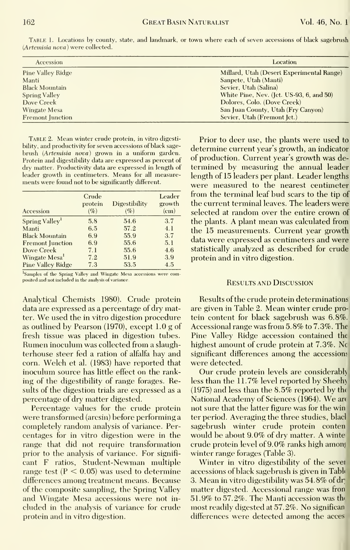| Accession               | Location                                  |  |  |
|-------------------------|-------------------------------------------|--|--|
| Pine Valley Ridge       | Millard, Utah (Desert Experimental Range) |  |  |
| Manti                   | Sanpete, Utah (Manti)                     |  |  |
| <b>Black Mountain</b>   | Sevier, Utah (Salina)                     |  |  |
| <b>Spring Valley</b>    | White Pine, Nev. (Jet. US-93, 6, and 50)  |  |  |
| Dove Creek              | Dolores, Colo. (Dove Creek)               |  |  |
| Wingate Mesa            | San Juan County, Utah (Fry Canyon)        |  |  |
| <b>Fremont Junction</b> | Sevier, Utah (Fremont Jct.)               |  |  |

Table 1. Locations by county, state, and landmark, or town where each of seven accessions of black (Artemisia nova) were collected. igebrush

TABLE 2. Mean winter crude protein, in vitro digestibility, and productivity for seven accessions of black sage-<br>determine current year's growth, an indicator brush (Artemisia nova) grown in a uniform garden.<br>Protein and digestibility data are expressed as percent of of production. Current year's growth was de-Protein and digestibility data are expressed as percent of — 01 production. Current year s-growth was-de-<br>dry matter. Productivity data are expressed in length of — termined - by -measuring - the -annual -leader dry matter. Productivity data are expressed in length of leader growth in centimeters. Means for all measure- length of 15 leaders per plant. Leader lengths ments were found not to be significantly different.

| Accession                  | Crude<br>protein<br>$(\%)$ | Digestibility<br>$(\%)$ | Leader<br>growth<br>(c <sub>m</sub> ) |
|----------------------------|----------------------------|-------------------------|---------------------------------------|
| Spring Valley <sup>1</sup> | 5.8                        | 54.6                    | 3.7                                   |
| Manti                      | 6.5                        | 57.2                    | 4.1                                   |
| <b>Black Mountain</b>      | 6.9                        | 55.9                    | 3.7                                   |
| <b>Fremont</b> Junction    | 6.9                        | 55.6                    | 5.1                                   |
| Dove Creek                 | 7.1                        | 55.6                    | 4.6                                   |
| Wingate Mesa <sup>1</sup>  | 7.2                        | 51.9                    | 3.9                                   |
| <b>Pine Valley Ridge</b>   | 7.3                        | 53.5                    | 4.5                                   |

<sup>1</sup>Samples of the Spring Valley and Wingate Mesa accessions were composited and not included in the analysis of variance

Analytical Chemists 1980). Crude protein data are expressed as a percentage of dry matter. We used the in vitro digestion procedure as outlined by Pearson  $(1970)$ , except 1.0 g of fresh tissue was placed in digestion tubes. Rumen inoculum was collected from a slaughterhouse steer fed a ration of alfalfa hay and corn. Welch et al. (1983) have reported that inoculum source has little effect on the ranking of the digestibility of range forages. Results of the digestion trials are expressed as a percentage of dry matter digested.

Percentage values for the crude protein were transformed (arcsin) before performing a completely random analysis of variance. Percentages for in vitro digestion were in the range that did not require transformation prior to the analysis of variance. For significant F ratios, Student-Newman multiple range test ( $P < 0.05$ ) was used to determine differences among treatment means. Because of the composite sampling, the Spring Valley and Wingate Mesa accessions were not included in the analysis of variance for crude protein and in vitro digestion.

Prior to deer use, the plants were used to were measured to the nearest centimeter from the terminal leaf bud scars to the tip of the current terminal leaves. The leaders were selected at random over the entire crown of the plants. A plant mean was calculated from the 15 measurements. Current year growth data were expressed as centimeters and were statistically analyzed as described for crude protein and in vitro digestion.

#### **RESULTS AND DISCUSSION**

Results of the crude protein determinations are given in Table 2. Mean winter crude protein content for black sagebrush was 6.8%. Accessional range was from 5.8% to 7.3%. The Pine Valley Ridge accession contained the highest amount of crude protein at 7.3%. No significant differences among the accessions were detected.

Our crude protein levels are considerably less than the 11.7% level reported by Sheehy  $(1975)$  and less than the 8.5% reported by the National Academy of Sciences (1964). We are not sure that the latter figure was for the win ter period. Averaging the three studies, black sagebrush winter crude protein conten would be about 9.0% of dry matter. A winte crude protein level of 9.0% ranks high among winter range forages (Table 3).

Winter in vitro digestibility of the sever accessions of black sagebrush is given in Table 3. Mean in vitro digestibility was 54.8% of dr matter digested. Accessional range was fron 51.9% to 57.2%. The Manti accession was the most readily digested at 57.2%. No significan differences were detected among the acces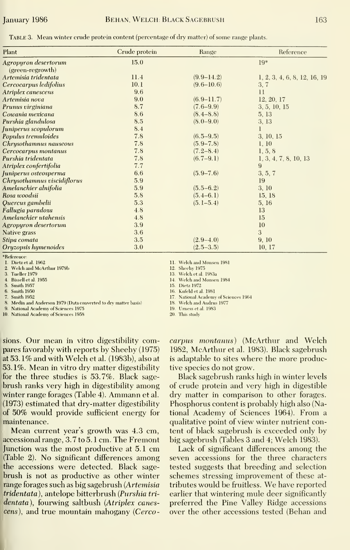TABLE 3. Mean winter crude protein content (percentage of dry matter) of some range plants.

| Plant                       | Crude protein | Range          | Reference                    |
|-----------------------------|---------------|----------------|------------------------------|
| Agropyron desertorum        | 15.0          |                | $19*$                        |
| (green-regrowth)            |               |                |                              |
| Artemisia tridentata        | 11.4          | $(9.9 - 14.2)$ | 1, 2, 3, 4, 6, 8, 12, 16, 19 |
| Cercocarpus ledifolius      | 10.1          | $(9.6 - 10.6)$ | 3, 7                         |
| Atriplex canescens          | 9.6           |                | 11                           |
| Artemisia nova              | 9.0           | $(6.9 - 11.7)$ | 12, 20, 17                   |
| Prunus virginiana           | 8.7           | $(7.6 - 9.9)$  | 3, 5, 10, 15                 |
| Cowania mexicana            | 8.6           | $(8.4 - 8.8)$  | 5, 13                        |
| Purshia glandulosa          | 8.5           | $(8.0 - 9.0)$  | 3, 13                        |
| Juniperus scopulorum        | 8.4           |                |                              |
| Populus tremuloides         | 7.8           | $(6.5 - 9.5)$  | 3, 10, 15                    |
| Chrysothamnus nauseous      | 7.8           | $(5.9 - 7.8)$  | 1, 10                        |
| Cercocarpus montanus        | 7.8           | $(7.2 - 8.4)$  | 1, 5, 8                      |
| Purshia tridentata          | 7.8           | $(6.7 - 9.1)$  | 1, 3, 4, 7, 8, 10, 13        |
| Atriplex confertifolia      | 7.7           |                | 9                            |
| Juniperus osteosperma       | 6.6           | $(5.9 - 7.6)$  | 3, 5, 7                      |
| Chrysothamnus viscidiflorus | 5.9           |                | 19                           |
| Amelanchier alnifolia       | 5.9           | $(5.5-6.2)$    | 3, 10                        |
| Rosa woodsii                | $5.8$         | $(5.4 - 6.1)$  | 15, 18                       |
| Quercus gambelii            | 5.3           | $(5.1 - 5.4)$  | 5, 16                        |
| Fallugia paradoxa           | 4.8           |                | 13                           |
| Amelanchier utahensis       | 4.8           |                | 15                           |
| Agropyron desertorum        | 3.9           |                | 10                           |
| Native grass                | 3.6           |                | 3                            |
| Stipa comata                | 3.5           | $(2.9 - 4.0)$  | 9, 10                        |
| Oryzopsis hymenoides        | 3.0           | $(2.5-3.5)$    | 10, 17                       |

\*Reference:

1. Dietz et al. 1962

 $\overline{2}$ Welch and McArthur 1979b

3. Tueller 1979

4. Bissell et al. 1955

5. Smith 1957

6. Smith 1950

7. Smith 1952

8. Medin and Anderson 1979 (Data converted to dry matter basis)

9. National Academy of Sciences 1975

10. National Academy of Sciences 1958

11. Welch and Monsen 1981 12. Sheehy 1975

13. Welch et al. 1983a

14. Welch and Monsen 1984

15 Dietz 1972

16. Kufeld et al. 1981

17. National Academy of Sciences 1964

18. Welch and Andrus 1977

19. Urness et al. 1983

20. This study

sions. Our mean in vitro digestibility compares favorably with reports by Sheehy (1975) at 53.1% and with Welch et al. (1983b), also at 53.1%. Mean in vitro dry matter digestibility for the three studies is 53.7%. Black sagebrush ranks very high in digestibility among winter range forages (Table 4). Ammann et al. (1973) estimated that dry-matter digestibility of 50% would provide sufficient energy for maintenance.

Mean current year's growth was 4.3 cm, accessional range, 3.7 to 5.1 cm. The Fremont Junction was the most productive at 5.1 cm (Table 2). No significant differences among the accessions were detected. Black sagebrush is not as productive as other winter range forages such as big sagebrush (Artemisia tridentata), antelope bitterbrush (Purshia tridentata), fourwing saltbush (Atriplex canescens), and true mountain mahogany (Cercocarpus montanus) (McArthur and Welch 1982, McArthur et al. 1983). Black sagebrush is adaptable to sites where the more productive species do not grow.

Black sagebrush ranks high in winter levels of crude protein and very high in digestible dry matter in comparison to other forages. Phosphorus content is probably high also (National Academy of Sciences 1964). From a qualitative point of view winter nutrient content of black sagebrush is exceeded only by big sagebrush (Tables 3 and 4; Welch 1983).

Lack of significant differences among the seven accessions for the three characters tested suggests that breeding and selection schemes stressing improvement of these attributes would be fruitless. We have reported earlier that wintering mule deer significantly preferred the Pine Valley Ridge accessions over the other accessions tested (Behan and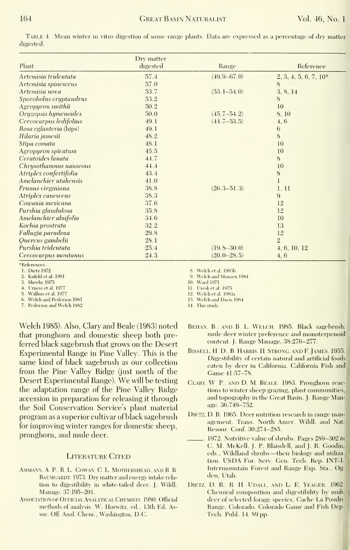TABLE 4. Mean winter in vitro digestion of some range plants. Data are expressed as a percentage of dry matter digested.

|                        | Dry matter |                 |                         |
|------------------------|------------|-----------------|-------------------------|
| Plant                  | digested   | Range           | Reference               |
| Artemisia tridentata   | 57.4       | $(49.9 - 67.0)$ | $2, 3, 4, 5, 6, 7, 10*$ |
| Artemisia spinescens   | 57.0       |                 | 8                       |
| Artemisia nova         | 53.7       | $(53.1 - 54.0)$ | 3, 8, 14                |
| Sporobolus cryptandrus | 53.2       |                 | 8                       |
| Agropyron smithii      | 50.2       |                 | 10                      |
| Oryzopsis hymenoides   | 50.0       | $(45.7 - 54.2)$ | 8, 10                   |
| Cercocarpus ledifolius | 49.1       | $(44.7 - 53.5)$ | 4, 6                    |
| Rosa eglanteria (hips) | 49.1       |                 | 6                       |
| Hilaria jamesii        | 48.2       |                 | 8                       |
| Stipa comata           | 48.1       |                 | 10                      |
| Agropyron spicatum     | 45.5       |                 | 10                      |
| Ceratoides langta      | 44.7       |                 | 8                       |
| Chrysothamnus nauseous | 44.4       |                 | 10                      |
| Atriplex confertifolia | 43.4       |                 | 8                       |
| Amelanchier utahensis  | 41.0       |                 |                         |
| Prunus virginiana      | 38.8       | $(26.3 - 51.3)$ | 1, 11                   |
| Atriplex canescens     | 38.3       |                 | 9                       |
| Cowania mexicana       | 37.6       |                 | 12                      |
| Purshia glandulosa     | 35.8       |                 | 12                      |
| Amelanchier alnifolia  | 34.6       |                 | 10                      |
| Kochia prostrata       | 32.2       |                 | 13                      |
| Fallugia paradoxa      | 29.8       |                 | 12                      |
| Quercus gambelii       | 28.1       |                 | $\overline{2}$          |
| Purshia tridentata     | 25.4       | $(19.8 - 30.0)$ | 4, 6, 10, 12            |
| Cercocarpus montanus   | 24.3       | $(20.0 - 28.5)$ | 4, 6                    |

\*References:

1. Dietz 1972

2. Kufeld et al. 1981

3. Sheehy 1975

4. Urness et al. 1977

5. Wallmo et al. 1977 6. Welch and Pederson 1981

7. Pederson and Welch 1982

Welch 1985). Also, Clary and Beale (1983) noted that pronghorn and domestic sheep both preferred black sagebrush that grows on the Desert Experimental Range in Pine Valley. This is the same kind of black sagebrush as our collection from the Pine Valley Ridge (just north of the Desert Experimental Range). We will be testing the adaptation range of the Pine Valley Ridge accession in preparation for releasing it through the Soil Conservation Service's plant material program as a superior cultivar of black sagebrush for improving winter ranges for domestic sheep. pronghorn, and mule deer.

#### **LITERATURE CITED**

- AMMANN, A. P., R. L. COWAN, C. L. MOTHERSHEAD, AND B. R. BAUMGARDT. 1973. Dry matter and energy intake relation to digestibility in white-tailed deer. J. Wildl. Manage. 37:195-201.
- ASSOCIATION OF OFFICIAL ANALYTICAL CHEMISTS. 1980. Official methods of analysis. W. Horwitz, ed., 13th Ed. Assoc. Off. Anal. Chem., Washington, D.C.

8. Welch et al. 1983b

9. Welch and Monsen 1984

10. Ward 1971

11. Uresk et al. 1975

12. Welch et al. 1983a 13. Welch and Davis 1984

- 14. This study
- BEHAN, B., AND B. L. WELCH. 1985. Black sagebrush: mule deer winter preference and monoterpenoid content. J. Range Manage. 38:276-277.
- BISSELL, H. D., B. HARRIS, H. STRONG, AND F. JAMES. 1955. Digestibility of certain natural and artificial foods eaten by deer in California. California Fish and Game 41:57-78.
- CLARY, W. P., AND D. M. BEALE. 1983. Pronghorn reactions to winter sheep grazing, plant communities, and topography in the Great Basin. J. Range Manage. 36:749-752.
- DIETZ, D. R. 1965. Deer nutrition research in range management. Trans. North Amer. Wildl. and Nat. Resour. Conf. 30:274-285.
- .. 1972. Nutritive value of shrubs. Pages 289-302 in C. M. McKell, J. P. Blaisdell, and J. R. Goodin, eds., Wildland shrubs-their biology and utilization. USDA For. Serv. Gen. Tech. Rep. INT-1. Intermountain Forest and Range Exp. Sta., Ogden. Utah.
- DIETZ, D. R., R H UDALL, AND L. E. YEAGER. 1962 Chemical composition and digestibility by mult deer of selected forage species, Cache La Poudro Range, Colorado. Colorado Game and Fish Dep Tech. Publ. 14. 89 pp.